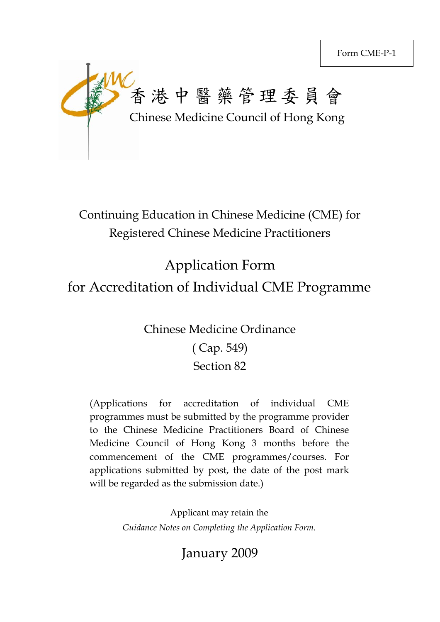

Continuing Education in Chinese Medicine (CME) for Registered Chinese Medicine Practitioners

# Application Form for Accreditation of Individual CME Programme

# Chinese Medicine Ordinance ( Cap. 549) Section 82

(Applications for accreditation of individual CME programmes must be submitted by the programme provider to the Chinese Medicine Practitioners Board of Chinese Medicine Council of Hong Kong 3 months before the commencement of the CME programmes/courses. For applications submitted by post, the date of the post mark will be regarded as the submission date.)

> Applicant may retain the *Guidance Notes on Completing the Application Form*.

> > January 2009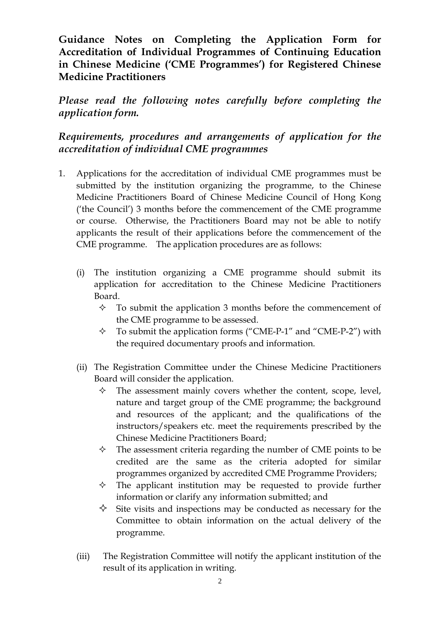**Guidance Notes on Completing the Application Form for Accreditation of Individual Programmes of Continuing Education in Chinese Medicine ('CME Programmes') for Registered Chinese Medicine Practitioners** 

*Please read the following notes carefully before completing the application form.* 

# *Requirements, procedures and arrangements of application for the accreditation of individual CME programmes*

- 1. Applications for the accreditation of individual CME programmes must be submitted by the institution organizing the programme, to the Chinese Medicine Practitioners Board of Chinese Medicine Council of Hong Kong ('the Council') 3 months before the commencement of the CME programme or course. Otherwise, the Practitioners Board may not be able to notify applicants the result of their applications before the commencement of the CME programme. The application procedures are as follows:
	- (i) The institution organizing a CME programme should submit its application for accreditation to the Chinese Medicine Practitioners Board.
		- $\Diamond$  To submit the application 3 months before the commencement of the CME programme to be assessed.
		- $\Diamond$  To submit the application forms ("CME-P-1" and "CME-P-2") with the required documentary proofs and information.
	- (ii) The Registration Committee under the Chinese Medicine Practitioners Board will consider the application.
		- $\Diamond$  The assessment mainly covers whether the content, scope, level, nature and target group of the CME programme; the background and resources of the applicant; and the qualifications of the instructors/speakers etc. meet the requirements prescribed by the Chinese Medicine Practitioners Board;
		- $\Diamond$  The assessment criteria regarding the number of CME points to be credited are the same as the criteria adopted for similar programmes organized by accredited CME Programme Providers;
		- $\diamond$  The applicant institution may be requested to provide further information or clarify any information submitted; and
		- $\Diamond$  Site visits and inspections may be conducted as necessary for the Committee to obtain information on the actual delivery of the programme.
	- (iii) The Registration Committee will notify the applicant institution of the result of its application in writing.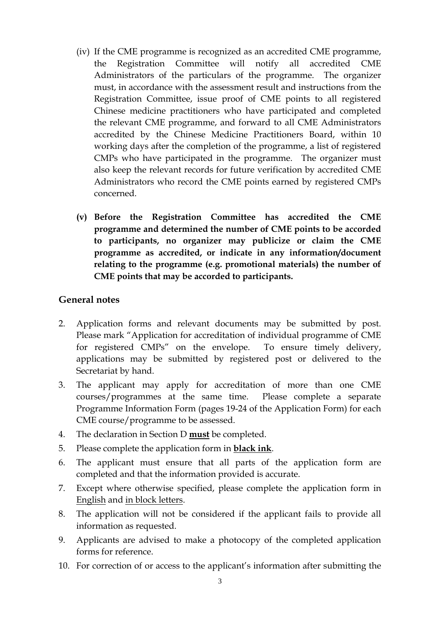- (iv) If the CME programme is recognized as an accredited CME programme, the Registration Committee will notify all accredited CME Administrators of the particulars of the programme. The organizer must, in accordance with the assessment result and instructions from the Registration Committee, issue proof of CME points to all registered Chinese medicine practitioners who have participated and completed the relevant CME programme, and forward to all CME Administrators accredited by the Chinese Medicine Practitioners Board, within 10 working days after the completion of the programme, a list of registered CMPs who have participated in the programme. The organizer must also keep the relevant records for future verification by accredited CME Administrators who record the CME points earned by registered CMPs concerned.
- **(v) Before the Registration Committee has accredited the CME programme and determined the number of CME points to be accorded to participants, no organizer may publicize or claim the CME programme as accredited, or indicate in any information/document relating to the programme (e.g. promotional materials) the number of CME points that may be accorded to participants.**

#### **General notes**

- 2. Application forms and relevant documents may be submitted by post. Please mark "Application for accreditation of individual programme of CME for registered CMPs" on the envelope. To ensure timely delivery, applications may be submitted by registered post or delivered to the Secretariat by hand.
- 3. The applicant may apply for accreditation of more than one CME courses/programmes at the same time. Please complete a separate Programme Information Form (pages 19-24 of the Application Form) for each CME course/programme to be assessed.
- 4. The declaration in Section D **must** be completed.
- 5. Please complete the application form in **black ink**.
- 6. The applicant must ensure that all parts of the application form are completed and that the information provided is accurate.
- 7. Except where otherwise specified, please complete the application form in English and in block letters.
- 8. The application will not be considered if the applicant fails to provide all information as requested.
- 9. Applicants are advised to make a photocopy of the completed application forms for reference.
- 10. For correction of or access to the applicant's information after submitting the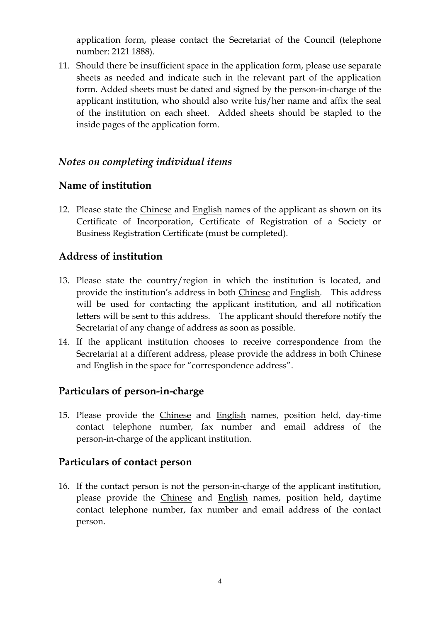application form, please contact the Secretariat of the Council (telephone number: 2121 1888).

11. Should there be insufficient space in the application form, please use separate sheets as needed and indicate such in the relevant part of the application form. Added sheets must be dated and signed by the person-in-charge of the applicant institution, who should also write his/her name and affix the seal of the institution on each sheet. Added sheets should be stapled to the inside pages of the application form.

#### *Notes on completing individual items*

#### **Name of institution**

12. Please state the Chinese and English names of the applicant as shown on its Certificate of Incorporation, Certificate of Registration of a Society or Business Registration Certificate (must be completed).

## **Address of institution**

- 13. Please state the country/region in which the institution is located, and provide the institution's address in both Chinese and English. This address will be used for contacting the applicant institution, and all notification letters will be sent to this address. The applicant should therefore notify the Secretariat of any change of address as soon as possible.
- 14. If the applicant institution chooses to receive correspondence from the Secretariat at a different address, please provide the address in both Chinese and English in the space for "correspondence address".

#### **Particulars of person-in-charge**

15. Please provide the Chinese and English names, position held, day-time contact telephone number, fax number and email address of the person-in-charge of the applicant institution.

#### **Particulars of contact person**

16. If the contact person is not the person-in-charge of the applicant institution, please provide the Chinese and English names, position held, daytime contact telephone number, fax number and email address of the contact person.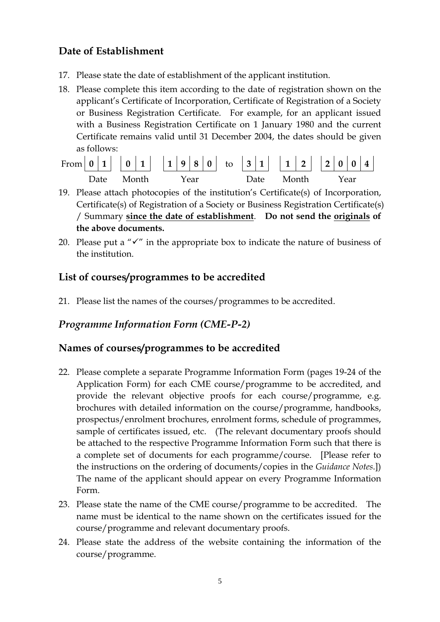## **Date of Establishment**

- 17. Please state the date of establishment of the applicant institution.
- 18. Please complete this item according to the date of registration shown on the applicant's Certificate of Incorporation, Certificate of Registration of a Society or Business Registration Certificate. For example, for an applicant issued with a Business Registration Certificate on 1 January 1980 and the current Certificate remains valid until 31 December 2004, the dates should be given as follows:

| From $ 0 1   0 1   1   1 9 8  0 $ to $ 3 1   1 2   2 0 0 4 $ |  |            |  |      |  |  |      |       |  |  |      |  |
|--------------------------------------------------------------|--|------------|--|------|--|--|------|-------|--|--|------|--|
|                                                              |  | Date Month |  | Year |  |  | Date | Month |  |  | Year |  |

- 19. Please attach photocopies of the institution's Certificate(s) of Incorporation, Certificate(s) of Registration of a Society or Business Registration Certificate(s) / Summary **since the date of establishment**. **Do not send the originals of the above documents.**
- 20. Please put a " $\checkmark$ " in the appropriate box to indicate the nature of business of the institution.

# **List of courses/programmes to be accredited**

21. Please list the names of the courses/programmes to be accredited.

# *Programme Information Form (CME-P-2)*

## **Names of courses/programmes to be accredited**

- 22. Please complete a separate Programme Information Form (pages 19-24 of the Application Form) for each CME course/programme to be accredited, and provide the relevant objective proofs for each course/programme, e.g. brochures with detailed information on the course/programme, handbooks, prospectus/enrolment brochures, enrolment forms, schedule of programmes, sample of certificates issued, etc. (The relevant documentary proofs should be attached to the respective Programme Information Form such that there is a complete set of documents for each programme/course. [Please refer to the instructions on the ordering of documents/copies in the *Guidance Notes*.]) The name of the applicant should appear on every Programme Information Form.
- 23. Please state the name of the CME course/programme to be accredited. The name must be identical to the name shown on the certificates issued for the course/programme and relevant documentary proofs.
- 24. Please state the address of the website containing the information of the course/programme.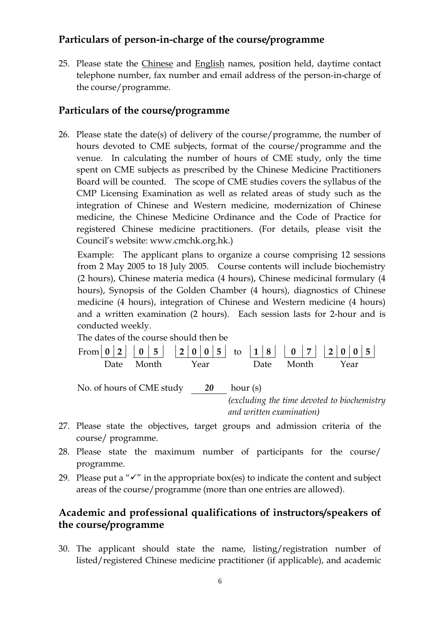#### **Particulars of person-in-charge of the course/programme**

25. Please state the Chinese and English names, position held, daytime contact telephone number, fax number and email address of the person-in-charge of the course/programme.

#### **Particulars of the course/programme**

26. Please state the date(s) of delivery of the course/programme, the number of hours devoted to CME subjects, format of the course/programme and the venue. In calculating the number of hours of CME study, only the time spent on CME subjects as prescribed by the Chinese Medicine Practitioners Board will be counted. The scope of CME studies covers the syllabus of the CMP Licensing Examination as well as related areas of study such as the integration of Chinese and Western medicine, modernization of Chinese medicine, the Chinese Medicine Ordinance and the Code of Practice for registered Chinese medicine practitioners. (For details, please visit the Council's website: www.cmchk.org.hk.)

Example: The applicant plans to organize a course comprising 12 sessions from 2 May 2005 to 18 July 2005. Course contents will include biochemistry (2 hours), Chinese materia medica (4 hours), Chinese medicinal formulary (4 hours), Synopsis of the Golden Chamber (4 hours), diagnostics of Chinese medicine (4 hours), integration of Chinese and Western medicine (4 hours) and a written examination (2 hours). Each session lasts for 2-hour and is conducted weekly.

The dates of the course should then be  
\nFrom 
$$
\begin{bmatrix} 0 & 2 \\ 0 & 2 \end{bmatrix}
$$
 and  $\begin{bmatrix} 0 & 5 \\ 0 & 5 \end{bmatrix}$  and  $\begin{bmatrix} 1 & 8 \\ 0 & 7 \end{bmatrix}$  and  $\begin{bmatrix} 2 & 0 & 0 \\ 0 & 5 \end{bmatrix}$   
\nNote  
\nNo. of hours of CME study  $\underline{\hspace{1cm}} 20$  hour (s)  
\n(*excluding the time devoted to biochemistry and written examination*)

- 27. Please state the objectives, target groups and admission criteria of the course/ programme.
- 28. Please state the maximum number of participants for the course/ programme.
- 29. Please put a " $\checkmark$ " in the appropriate box(es) to indicate the content and subject areas of the course/programme (more than one entries are allowed).

#### **Academic and professional qualifications of instructors/speakers of the course/programme**

30. The applicant should state the name, listing/registration number of listed/registered Chinese medicine practitioner (if applicable), and academic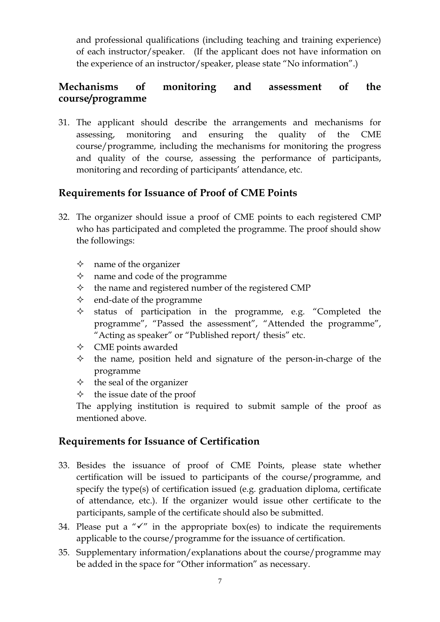and professional qualifications (including teaching and training experience) of each instructor/speaker. (If the applicant does not have information on the experience of an instructor/speaker, please state "No information".)

### **Mechanisms of monitoring and assessment of the course/programme**

31. The applicant should describe the arrangements and mechanisms for assessing, monitoring and ensuring the quality of the CME course/programme, including the mechanisms for monitoring the progress and quality of the course, assessing the performance of participants, monitoring and recording of participants' attendance, etc.

## **Requirements for Issuance of Proof of CME Points**

- 32. The organizer should issue a proof of CME points to each registered CMP who has participated and completed the programme. The proof should show the followings:
	- $\Diamond$  name of the organizer
	- $\Diamond$  name and code of the programme
	- $\Diamond$  the name and registered number of the registered CMP
	- $\Diamond$  end-date of the programme
	- $\Diamond$  status of participation in the programme, e.g. "Completed the programme", "Passed the assessment", "Attended the programme", "Acting as speaker" or "Published report/ thesis" etc.
	- $\Diamond$  CME points awarded
	- $\Diamond$  the name, position held and signature of the person-in-charge of the programme
	- $\Diamond$  the seal of the organizer
	- $\diamond$  the issue date of the proof

The applying institution is required to submit sample of the proof as mentioned above.

#### **Requirements for Issuance of Certification**

- 33. Besides the issuance of proof of CME Points, please state whether certification will be issued to participants of the course/programme, and specify the type(s) of certification issued (e.g. graduation diploma, certificate of attendance, etc.). If the organizer would issue other certificate to the participants, sample of the certificate should also be submitted.
- 34. Please put a " $\checkmark$ " in the appropriate box(es) to indicate the requirements applicable to the course/programme for the issuance of certification.
- 35. Supplementary information/explanations about the course/programme may be added in the space for "Other information" as necessary.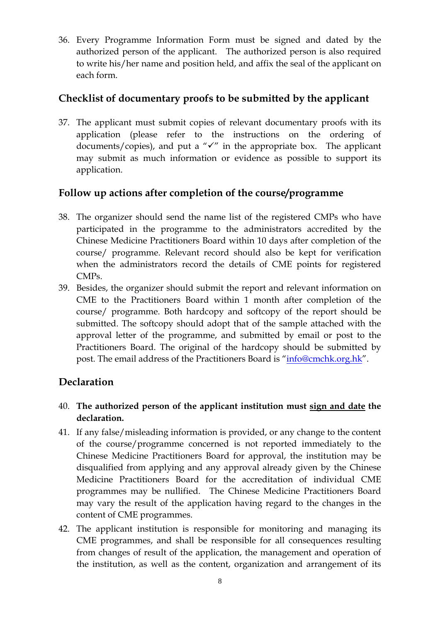36. Every Programme Information Form must be signed and dated by the authorized person of the applicant. The authorized person is also required to write his/her name and position held, and affix the seal of the applicant on each form.

#### **Checklist of documentary proofs to be submitted by the applicant**

37. The applicant must submit copies of relevant documentary proofs with its application (please refer to the instructions on the ordering of documents/copies), and put a " $\checkmark$ " in the appropriate box. The applicant may submit as much information or evidence as possible to support its application.

## **Follow up actions after completion of the course/programme**

- 38. The organizer should send the name list of the registered CMPs who have participated in the programme to the administrators accredited by the Chinese Medicine Practitioners Board within 10 days after completion of the course/ programme. Relevant record should also be kept for verification when the administrators record the details of CME points for registered CMPs.
- 39. Besides, the organizer should submit the report and relevant information on CME to the Practitioners Board within 1 month after completion of the course/ programme. Both hardcopy and softcopy of the report should be submitted. The softcopy should adopt that of the sample attached with the approval letter of the programme, and submitted by email or post to the Practitioners Board. The original of the hardcopy should be submitted by post. The email address of the Practitioners Board is "info@cmchk.org.hk".

## **Declaration**

- 40. **The authorized person of the applicant institution must sign and date the declaration.**
- 41. If any false/misleading information is provided, or any change to the content of the course/programme concerned is not reported immediately to the Chinese Medicine Practitioners Board for approval, the institution may be disqualified from applying and any approval already given by the Chinese Medicine Practitioners Board for the accreditation of individual CME programmes may be nullified. The Chinese Medicine Practitioners Board may vary the result of the application having regard to the changes in the content of CME programmes.
- 42. The applicant institution is responsible for monitoring and managing its CME programmes, and shall be responsible for all consequences resulting from changes of result of the application, the management and operation of the institution, as well as the content, organization and arrangement of its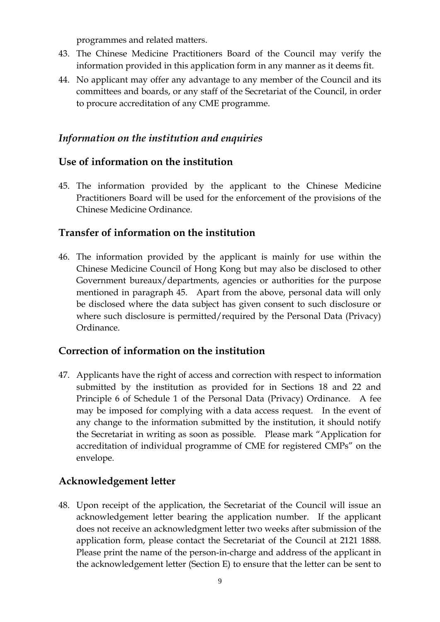programmes and related matters.

- 43. The Chinese Medicine Practitioners Board of the Council may verify the information provided in this application form in any manner as it deems fit.
- 44. No applicant may offer any advantage to any member of the Council and its committees and boards, or any staff of the Secretariat of the Council, in order to procure accreditation of any CME programme.

#### *Information on the institution and enquiries*

#### **Use of information on the institution**

45. The information provided by the applicant to the Chinese Medicine Practitioners Board will be used for the enforcement of the provisions of the Chinese Medicine Ordinance.

#### **Transfer of information on the institution**

46. The information provided by the applicant is mainly for use within the Chinese Medicine Council of Hong Kong but may also be disclosed to other Government bureaux/departments, agencies or authorities for the purpose mentioned in paragraph 45. Apart from the above, personal data will only be disclosed where the data subject has given consent to such disclosure or where such disclosure is permitted/required by the Personal Data (Privacy) Ordinance.

#### **Correction of information on the institution**

47. Applicants have the right of access and correction with respect to information submitted by the institution as provided for in Sections 18 and 22 and Principle 6 of Schedule 1 of the Personal Data (Privacy) Ordinance. A fee may be imposed for complying with a data access request. In the event of any change to the information submitted by the institution, it should notify the Secretariat in writing as soon as possible. Please mark "Application for accreditation of individual programme of CME for registered CMPs" on the envelope.

## **Acknowledgement letter**

48. Upon receipt of the application, the Secretariat of the Council will issue an acknowledgement letter bearing the application number. If the applicant does not receive an acknowledgment letter two weeks after submission of the application form, please contact the Secretariat of the Council at 2121 1888. Please print the name of the person-in-charge and address of the applicant in the acknowledgement letter (Section E) to ensure that the letter can be sent to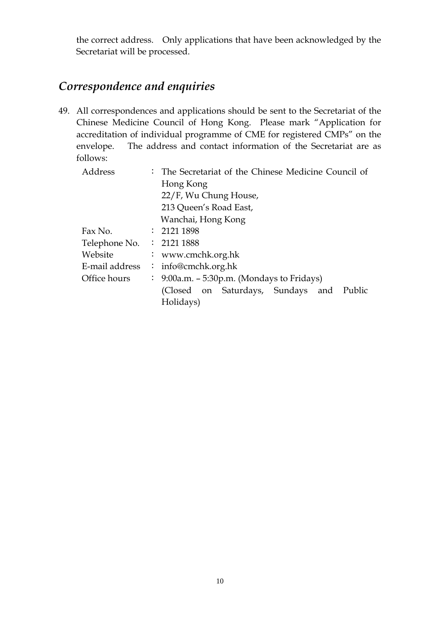the correct address. Only applications that have been acknowledged by the Secretariat will be processed.

# *Correspondence and enquiries*

49. All correspondences and applications should be sent to the Secretariat of the Chinese Medicine Council of Hong Kong. Please mark "Application for accreditation of individual programme of CME for registered CMPs" on the envelope. The address and contact information of the Secretariat are as follows:

| Address        |                    | : The Secretariat of the Chinese Medicine Council of  |  |  |  |  |  |
|----------------|--------------------|-------------------------------------------------------|--|--|--|--|--|
|                |                    | Hong Kong                                             |  |  |  |  |  |
|                |                    | 22/F, Wu Chung House,                                 |  |  |  |  |  |
|                |                    | 213 Queen's Road East,                                |  |  |  |  |  |
|                | Wanchai, Hong Kong |                                                       |  |  |  |  |  |
| Fax No.        |                    | : 21211898                                            |  |  |  |  |  |
| Telephone No.  |                    | : 21211888                                            |  |  |  |  |  |
| Website        |                    | : www.cmchk.org.hk                                    |  |  |  |  |  |
| E-mail address |                    | : info@cmchk.org.hk                                   |  |  |  |  |  |
| Office hours   |                    | $\therefore$ 9:00a.m. – 5:30p.m. (Mondays to Fridays) |  |  |  |  |  |
|                |                    | (Closed on Saturdays, Sundays and<br>Public           |  |  |  |  |  |
|                |                    | Holidays)                                             |  |  |  |  |  |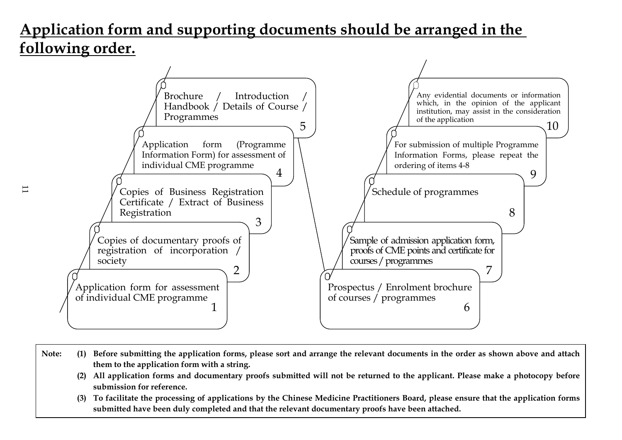# **Application form and supporting documents should be arranged in the following order.**



- **Note: (1) Before submitting the application forms, please sort and arrange the relevant documents in the order as shown above and attach them to the application form with a string.** 
	- **(2) All application forms and documentary proofs submitted will not be returned to the applicant. Please make a photocopy before submission for reference.**
	- **(3) To facilitate the processing of applications by the Chinese Medicine Practitioners Board, please ensure that the application forms submitted have been duly completed and that the relevant documentary proofs have been attached.**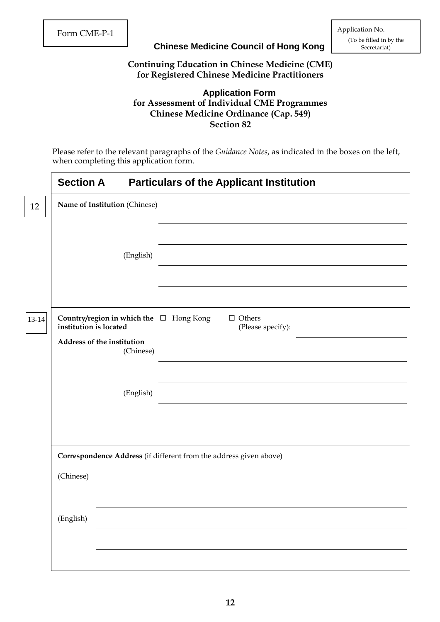#### **Chinese Medicine Council of Hong Kong**

Form CME-P-1 Application No. (To be filled in by the

#### **Continuing Education in Chinese Medicine (CME) for Registered Chinese Medicine Practitioners**

#### **Application Form for Assessment of Individual CME Programmes Chinese Medicine Ordinance (Cap. 549) Section 82**

Please refer to the relevant paragraphs of the *Guidance Notes*, as indicated in the boxes on the left, when completing this application form.

| <b>Section A</b>                                                  | <b>Particulars of the Applicant Institution</b>                    |
|-------------------------------------------------------------------|--------------------------------------------------------------------|
| Name of Institution (Chinese)                                     |                                                                    |
|                                                                   |                                                                    |
| (English)                                                         |                                                                    |
| Country/region in which the $\Box$ Hong Kong                      | $\Box$ Others                                                      |
| institution is located<br>Address of the institution<br>(Chinese) | (Please specify):                                                  |
| (English)                                                         |                                                                    |
|                                                                   |                                                                    |
|                                                                   | Correspondence Address (if different from the address given above) |
| (Chinese)                                                         |                                                                    |
| (English)                                                         |                                                                    |
|                                                                   |                                                                    |
|                                                                   |                                                                    |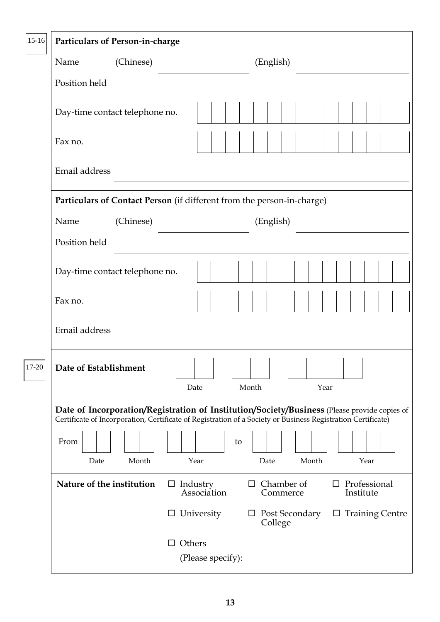| $15 - 16$ | <b>Particulars of Person-in-charge</b> |           |                                                                                                                                                                                                              |
|-----------|----------------------------------------|-----------|--------------------------------------------------------------------------------------------------------------------------------------------------------------------------------------------------------------|
|           | Name                                   | (Chinese) | (English)                                                                                                                                                                                                    |
|           | Position held                          |           |                                                                                                                                                                                                              |
|           | Day-time contact telephone no.         |           |                                                                                                                                                                                                              |
|           | Fax no.                                |           |                                                                                                                                                                                                              |
|           | Email address                          |           |                                                                                                                                                                                                              |
|           |                                        |           | Particulars of Contact Person (if different from the person-in-charge)                                                                                                                                       |
|           | Name                                   | (Chinese) | (English)                                                                                                                                                                                                    |
|           | Position held                          |           |                                                                                                                                                                                                              |
|           | Day-time contact telephone no.         |           |                                                                                                                                                                                                              |
|           | Fax no.                                |           |                                                                                                                                                                                                              |
|           | Email address                          |           |                                                                                                                                                                                                              |
| $17-20$   | Date of Establishment                  |           | 1 1 1 1 1 1 1 1 1 1<br>Month<br>Date<br>Year                                                                                                                                                                 |
|           |                                        |           |                                                                                                                                                                                                              |
|           |                                        |           | Date of Incorporation/Registration of Institution/Society/Business (Please provide copies of<br>Certificate of Incorporation, Certificate of Registration of a Society or Business Registration Certificate) |
|           | From<br>Date                           | Month     | to<br>Year<br>Year<br>Date<br>Month                                                                                                                                                                          |
|           | Nature of the institution              |           | $\Box$ Chamber of<br>Professional<br>$\Box$ Industry<br>$\Box$<br>Association<br>Institute<br>Commerce                                                                                                       |
|           |                                        |           | $\Box$ Training Centre<br>University<br>$\Box$ Post Secondary<br>$\Box$<br>College                                                                                                                           |
|           |                                        |           | $\Box$ Others<br>(Please specify):                                                                                                                                                                           |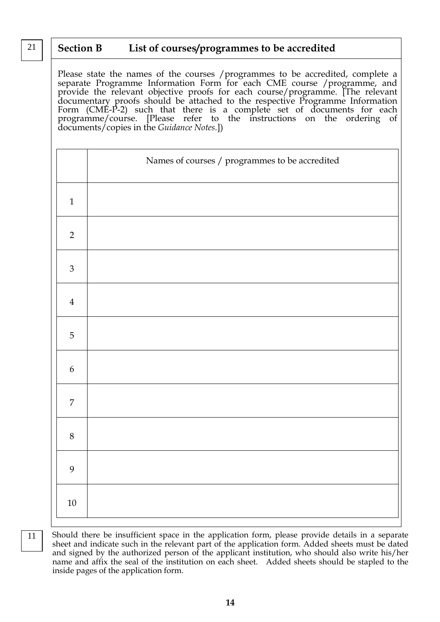#### 21 **Section B List of courses/programmes to be accredited**

Please state the names of the courses /programmes to be accredited, complete a separate Programme Information Form for each CME course /programme, and provide the relevant objective proofs for each course/programme. [The relevant documentary proofs should be attached to the respective Programme Information Form (CME-P-2) such that there is a complete set of documents for each programme/course. [Please refer to the instructions on the ordering of documents/copies in the *Guidance Notes.*])

|                  | Names of courses / programmes to be accredited |
|------------------|------------------------------------------------|
|                  |                                                |
| $\mathbf{1}$     |                                                |
| $\overline{2}$   |                                                |
| $\mathfrak{Z}$   |                                                |
| $\overline{4}$   |                                                |
| $\overline{5}$   |                                                |
| $\boldsymbol{6}$ |                                                |
| $\boldsymbol{7}$ |                                                |
| $8\,$            |                                                |
| 9                |                                                |
| $10\,$           |                                                |

11

Should there be insufficient space in the application form, please provide details in a separate sheet and indicate such in the relevant part of the application form. Added sheets must be dated and signed by the authorized person of the applicant institution, who should also write his/her name and affix the seal of the institution on each sheet. Added sheets should be stapled to the inside pages of the application form.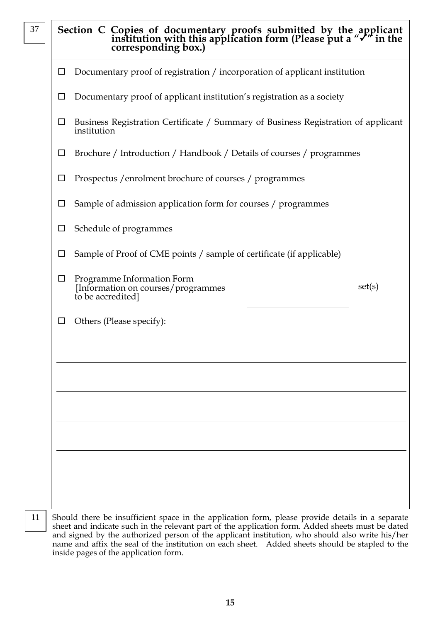|        | Section C Copies of documentary proofs submitted by the applicant institution with this application form (Please put a " $\checkmark$ " in the corresponding box.) |
|--------|--------------------------------------------------------------------------------------------------------------------------------------------------------------------|
| $\Box$ | Documentary proof of registration / incorporation of applicant institution                                                                                         |
| ப      | Documentary proof of applicant institution's registration as a society                                                                                             |
| ப      | Business Registration Certificate / Summary of Business Registration of applicant<br>institution                                                                   |
| $\Box$ | Brochure / Introduction / Handbook / Details of courses / programmes                                                                                               |
|        | Prospectus / enrolment brochure of courses / programmes                                                                                                            |
| ப      | Sample of admission application form for courses / programmes                                                                                                      |
| ப      | Schedule of programmes                                                                                                                                             |
|        | Sample of Proof of CME points / sample of certificate (if applicable)                                                                                              |
| $\Box$ | Programme Information Form<br>set(s)<br>[Information on courses/programmes]<br>to be accredited]                                                                   |
| ப      | Others (Please specify):                                                                                                                                           |
|        |                                                                                                                                                                    |
|        |                                                                                                                                                                    |
|        |                                                                                                                                                                    |
|        |                                                                                                                                                                    |
|        |                                                                                                                                                                    |
|        |                                                                                                                                                                    |
|        |                                                                                                                                                                    |
|        | Should there be insufficient space in the application form please provide details in a separate                                                                    |

37

11

Should there be insufficient space in the application form, please provide details in a separate and signed by the authorized person of the applicant institution, who should also write his/her name and affix the seal of the institution on each sheet. Added sheets should be stapled to the sheet and indicate such in the relevant part of the application form. Added sheets must be dated inside pages of the application form.

**15**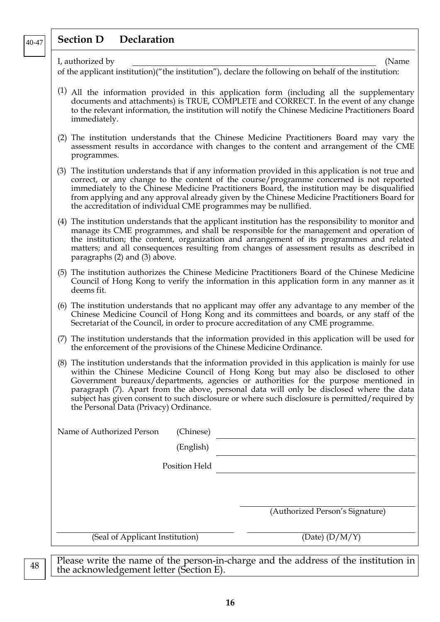#### **Section D Declaration**  40-47

| $\mathbf r$ |  |  |  |  |
|-------------|--|--|--|--|

I, authorized by (Name

of the applicant institution)("the institution"), declare the following on behalf of the institution:

- (1) All the information provided in this application form (including all the supplementary documents and attachments) is TRUE, COMPLETE and CORRECT. In the event of any change to the relevant information, the institution will notify the Chinese Medicine Practitioners Board immediately.
- (2) The institution understands that the Chinese Medicine Practitioners Board may vary the assessment results in accordance with changes to the content and arrangement of the CME programmes.
- (3) The institution understands that if any information provided in this application is not true and correct, or any change to the content of the course/programme concerned is not reported immediately to the Chinese Medicine Practitioners Board, the institution may be disqualified from applying and any approval already given by the Chinese Medicine Practitioners Board for the accreditation of individual CME programmes may be nullified.
- (4) The institution understands that the applicant institution has the responsibility to monitor and manage its CME programmes, and shall be responsible for the management and operation of the institution; the content, organization and arrangement of its programmes and related matters; and all consequences resulting from changes of assessment results as described in paragraphs (2) and (3) above.
- (5) The institution authorizes the Chinese Medicine Practitioners Board of the Chinese Medicine Council of Hong Kong to verify the information in this application form in any manner as it deems fit.
- (6) The institution understands that no applicant may offer any advantage to any member of the Chinese Medicine Council of Hong Kong and its committees and boards, or any staff of the Secretariat of the Council, in order to procure accreditation of any CME programme.
- (7) The institution understands that the information provided in this application will be used for the enforcement of the provisions of the Chinese Medicine Ordinance.
- (8) The institution understands that the information provided in this application is mainly for use within the Chinese Medicine Council of Hong Kong but may also be disclosed to other Government bureaux/departments, agencies or authorities for the purpose mentioned in paragraph (7). Apart from the above, personal data will only be disclosed where the data subject has given consent to such disclosure or where such disclosure is permitted/required by the Personal Data (Privacy) Ordinance.

| (Chinese)<br>Name of Authorized Person |                                                                                     |
|----------------------------------------|-------------------------------------------------------------------------------------|
| (English)                              |                                                                                     |
| Position Held                          |                                                                                     |
|                                        |                                                                                     |
|                                        |                                                                                     |
|                                        | (Authorized Person's Signature)                                                     |
| (Seal of Applicant Institution)        | (Date) $(D/M/Y)$                                                                    |
|                                        |                                                                                     |
|                                        | Please write the name of the person-in-charge and the address of the institution in |

the acknowledgement letter (Section E).

48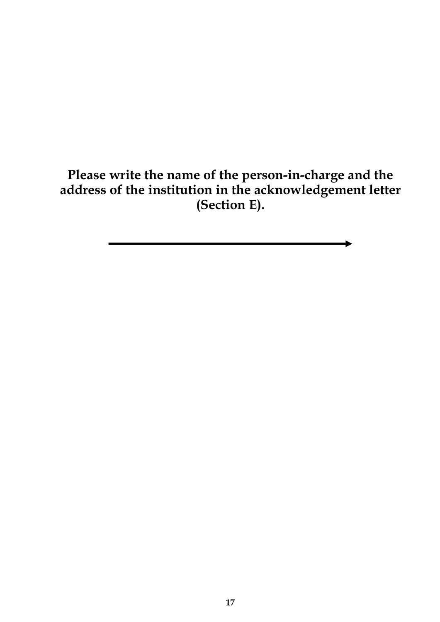**Please write the name of the person-in-charge and the address of the institution in the acknowledgement letter (Section E).**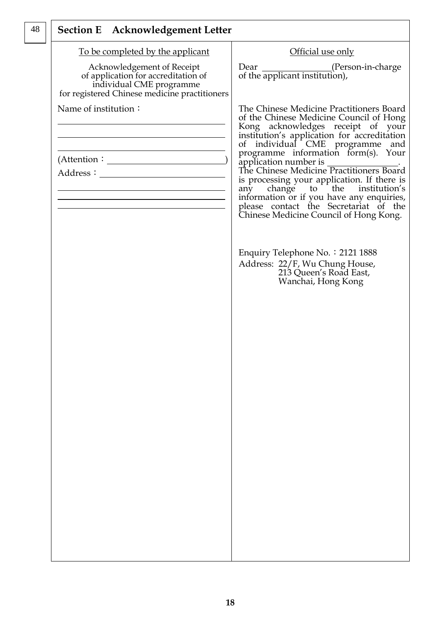| Official use only                                                                                                                                                                                                                                                                                                                                                                                                                                                   |
|---------------------------------------------------------------------------------------------------------------------------------------------------------------------------------------------------------------------------------------------------------------------------------------------------------------------------------------------------------------------------------------------------------------------------------------------------------------------|
| Dear (Person-in-charge<br>of the applicant institution),                                                                                                                                                                                                                                                                                                                                                                                                            |
| The Chinese Medicine Practitioners Board<br>of the Chinese Medicine Council of Hong<br>Kong acknowledges receipt of your<br>institution's application for accreditation<br>of individual CME programme and<br>programme information form(s). Your<br>is processing your application. If there is<br>any change to the institution's<br>information or if you have any enquiries,<br>please contact the Secretariat of the<br>Chinese Medicine Council of Hong Kong. |
| Enquiry Telephone No. : 2121 1888<br>Address: 22/F, Wu Chung House,<br>213 Queen's Road East,<br>Wanchai, Hong Kong                                                                                                                                                                                                                                                                                                                                                 |
|                                                                                                                                                                                                                                                                                                                                                                                                                                                                     |
|                                                                                                                                                                                                                                                                                                                                                                                                                                                                     |
|                                                                                                                                                                                                                                                                                                                                                                                                                                                                     |
|                                                                                                                                                                                                                                                                                                                                                                                                                                                                     |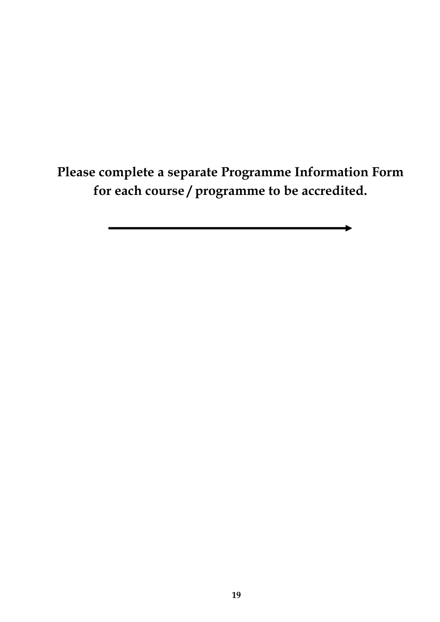**Please complete a separate Programme Information Form for each course / programme to be accredited.**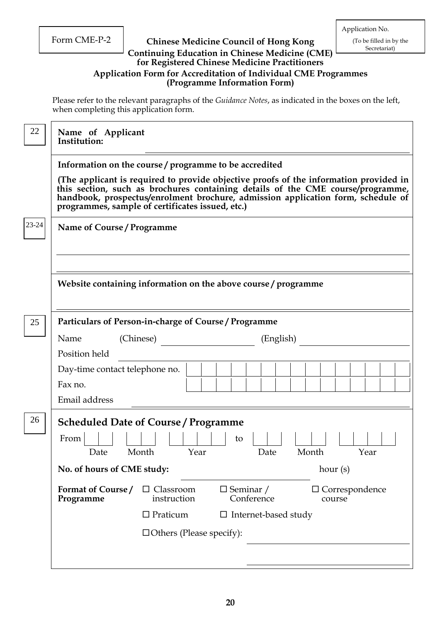#### Form CME-P-2 **Chinese Medicine Council of Hong Kong** (To be filled in by the Secretariat) Continuing Education in Chinese Medicine (CME)<sup> Secretariat)</sup> **for Registered Chinese Medicine Practitioners Application Form for Accreditation of Individual CME Programmes (Programme Information Form)**

Please refer to the relevant paragraphs of the *Guidance Notes*, as indicated in the boxes on the left, when completing this application form.

| 22    | Name of Applicant<br>Institution:                                                                                                                                                                                                                                                                                                                                          |  |  |  |  |  |  |
|-------|----------------------------------------------------------------------------------------------------------------------------------------------------------------------------------------------------------------------------------------------------------------------------------------------------------------------------------------------------------------------------|--|--|--|--|--|--|
|       | Information on the course / programme to be accredited<br>(The applicant is required to provide objective proofs of the information provided in<br>this section, such as brochures containing details of the CME course/programme,<br>handbook, prospectus/enrolment brochure, admission application form, schedule of<br>programmes, sample of certificates issued, etc.) |  |  |  |  |  |  |
| 23-24 | Name of Course / Programme                                                                                                                                                                                                                                                                                                                                                 |  |  |  |  |  |  |
|       | Website containing information on the above course / programme                                                                                                                                                                                                                                                                                                             |  |  |  |  |  |  |
| 25    | Particulars of Person-in-charge of Course / Programme<br>Name<br>(Chinese)<br>(English)<br>Position held                                                                                                                                                                                                                                                                   |  |  |  |  |  |  |
|       | Day-time contact telephone no.<br>Fax no.<br>Email address                                                                                                                                                                                                                                                                                                                 |  |  |  |  |  |  |
| 26    | <b>Scheduled Date of Course / Programme</b><br>From<br>to<br>Date Month Year<br>Date Month<br>Year<br>No. of hours of CME study:<br>hour $(s)$                                                                                                                                                                                                                             |  |  |  |  |  |  |
|       | Format of Course/<br>$\Box$ Seminar /<br>$\Box$ Classroom<br>$\Box$ Correspondence<br>instruction<br>Conference<br>Programme<br>course<br>$\Box$ Praticum<br>$\Box$ Internet-based study<br>$\Box$ Others (Please specify):                                                                                                                                                |  |  |  |  |  |  |
|       |                                                                                                                                                                                                                                                                                                                                                                            |  |  |  |  |  |  |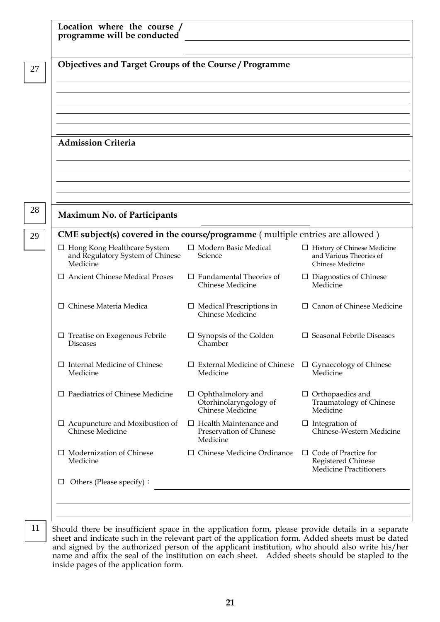| <b>Objectives and Target Groups of the Course / Programme</b>                      |                                                                        |                                                                                    |  |  |  |
|------------------------------------------------------------------------------------|------------------------------------------------------------------------|------------------------------------------------------------------------------------|--|--|--|
|                                                                                    |                                                                        |                                                                                    |  |  |  |
|                                                                                    |                                                                        |                                                                                    |  |  |  |
|                                                                                    |                                                                        |                                                                                    |  |  |  |
|                                                                                    |                                                                        |                                                                                    |  |  |  |
| <b>Admission Criteria</b>                                                          |                                                                        |                                                                                    |  |  |  |
|                                                                                    |                                                                        |                                                                                    |  |  |  |
|                                                                                    |                                                                        |                                                                                    |  |  |  |
|                                                                                    |                                                                        |                                                                                    |  |  |  |
|                                                                                    |                                                                        |                                                                                    |  |  |  |
| <b>Maximum No. of Participants</b>                                                 |                                                                        |                                                                                    |  |  |  |
| CME subject(s) covered in the course/programme (multiple entries are allowed)      |                                                                        |                                                                                    |  |  |  |
| $\Box$ Hong Kong Healthcare System<br>and Regulatory System of Chinese<br>Medicine | □ Modern Basic Medical<br>Science                                      | $\Box$ History of Chinese Medicine<br>and Various Theories of<br>Chinese Medicine  |  |  |  |
| <b>Ancient Chinese Medical Proses</b>                                              | $\Box$ Fundamental Theories of<br><b>Chinese Medicine</b>              | $\Box$ Diagnostics of Chinese<br>Medicine                                          |  |  |  |
| Chinese Materia Medica<br>П.                                                       | $\Box$ Medical Prescriptions in<br>Chinese Medicine                    | $\Box$ Canon of Chinese Medicine                                                   |  |  |  |
| $\Box$ Treatise on Exogenous Febrile<br><b>Diseases</b>                            | $\Box$ Synopsis of the Golden<br>Chamber                               | $\square$ Seasonal Febrile Diseases                                                |  |  |  |
| $\Box$ Internal Medicine of Chinese<br>Medicine                                    | Medicine                                                               | $\Box$ External Medicine of Chinese $\Box$ Gynaecology of Chinese<br>Medicine      |  |  |  |
| $\square$ Paediatrics of Chinese Medicine                                          | $\Box$ Ophthalmolory and<br>Otorhinolaryngology of<br>Chinese Medicine | $\Box$ Orthopaedics and<br>Traumatology of Chinese<br>Medicine                     |  |  |  |
| $\Box$ Acupuncture and Moxibustion of<br>Chinese Medicine                          | $\Box$ Health Maintenance and<br>Preservation of Chinese<br>Medicine   | $\Box$ Integration of<br>Chinese-Western Medicine                                  |  |  |  |
| $\Box$ Modernization of Chinese<br>Medicine                                        | $\Box$ Chinese Medicine Ordinance                                      | $\Box$ Code of Practice for<br>Registered Chinese<br><b>Medicine Practitioners</b> |  |  |  |
| Others (Please specify):<br>ப                                                      |                                                                        |                                                                                    |  |  |  |

11 Should there be insufficient space in the application form, please provide details in a separate sheet and indicate such in the relevant part of the application form. Added sheets must be dated and signed by the authorized person of the applicant institution, who should also write his/her name and affix the seal of the institution on each sheet. Added sheets should be stapled to the inside pages of the application form.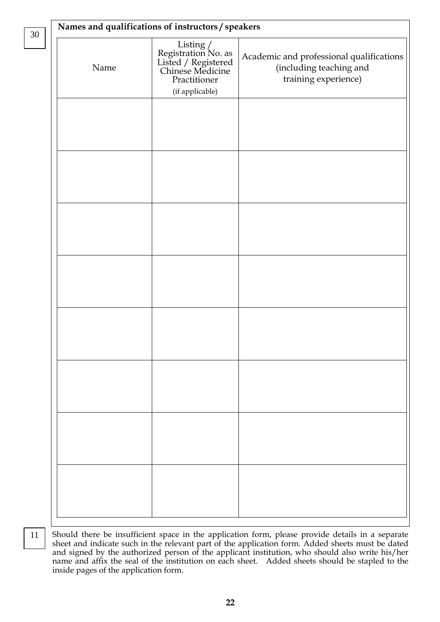| Names and qualifications of instructors / speakers |                                                                                                                |                                                                                             |  |  |  |
|----------------------------------------------------|----------------------------------------------------------------------------------------------------------------|---------------------------------------------------------------------------------------------|--|--|--|
| Name                                               | Listing /<br>Registration No. as<br>Listed / Registered<br>Chinese Medicine<br>Practitioner<br>(if applicable) | Academic and professional qualifications<br>(including teaching and<br>training experience) |  |  |  |
|                                                    |                                                                                                                |                                                                                             |  |  |  |
|                                                    |                                                                                                                |                                                                                             |  |  |  |
|                                                    |                                                                                                                |                                                                                             |  |  |  |
|                                                    |                                                                                                                |                                                                                             |  |  |  |
|                                                    |                                                                                                                |                                                                                             |  |  |  |
|                                                    |                                                                                                                |                                                                                             |  |  |  |
|                                                    |                                                                                                                |                                                                                             |  |  |  |
|                                                    |                                                                                                                |                                                                                             |  |  |  |
|                                                    |                                                                                                                |                                                                                             |  |  |  |

11

30

Should there be insufficient space in the application form, please provide details in a separate sheet and indicate such in the relevant part of the application form. Added sheets must be dated and signed by the authorized person of the applicant institution, who should also write his/her name and affix the seal of the institution on each sheet. Added sheets should be stapled to the inside pages of the application form.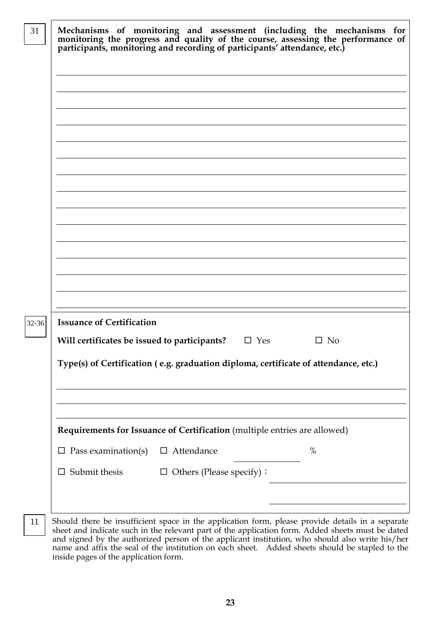|                                              | Mechanisms of monitoring and assessment (including the mechanisms for monitoring the progress and quality of the course, assessing the performance of participants, monitoring and recording of participants' attendance, etc. |           |
|----------------------------------------------|--------------------------------------------------------------------------------------------------------------------------------------------------------------------------------------------------------------------------------|-----------|
|                                              |                                                                                                                                                                                                                                |           |
|                                              |                                                                                                                                                                                                                                |           |
|                                              |                                                                                                                                                                                                                                |           |
|                                              |                                                                                                                                                                                                                                |           |
|                                              |                                                                                                                                                                                                                                |           |
|                                              |                                                                                                                                                                                                                                |           |
|                                              |                                                                                                                                                                                                                                |           |
|                                              |                                                                                                                                                                                                                                |           |
|                                              |                                                                                                                                                                                                                                |           |
|                                              |                                                                                                                                                                                                                                |           |
|                                              |                                                                                                                                                                                                                                |           |
|                                              |                                                                                                                                                                                                                                |           |
|                                              |                                                                                                                                                                                                                                |           |
|                                              |                                                                                                                                                                                                                                |           |
|                                              |                                                                                                                                                                                                                                |           |
|                                              |                                                                                                                                                                                                                                |           |
|                                              |                                                                                                                                                                                                                                |           |
| <b>Issuance of Certification</b>             |                                                                                                                                                                                                                                |           |
| Will certificates be issued to participants? | $\Box$ Yes                                                                                                                                                                                                                     | $\Box$ No |
|                                              | Type(s) of Certification (e.g. graduation diploma, certificate of attendance, etc.)                                                                                                                                            |           |
|                                              |                                                                                                                                                                                                                                |           |
|                                              |                                                                                                                                                                                                                                |           |
|                                              |                                                                                                                                                                                                                                |           |
|                                              |                                                                                                                                                                                                                                |           |
|                                              | Requirements for Issuance of Certification (multiple entries are allowed)                                                                                                                                                      |           |
| Pass examination(s)<br>ப                     | $\Box$ Attendance                                                                                                                                                                                                              | %         |
| Submit thesis<br>$\Box$                      | $\Box$ Others (Please specify):                                                                                                                                                                                                |           |
|                                              |                                                                                                                                                                                                                                |           |
|                                              |                                                                                                                                                                                                                                |           |
|                                              |                                                                                                                                                                                                                                |           |

sheet and indicate such in the relevant part of the application form. Added sheets must be dated and signed by the authorized person of the applicant institution, who should also write his/her name and affix the seal of the institution on each sheet. Added sheets should be stapled to the inside pages of the application form.